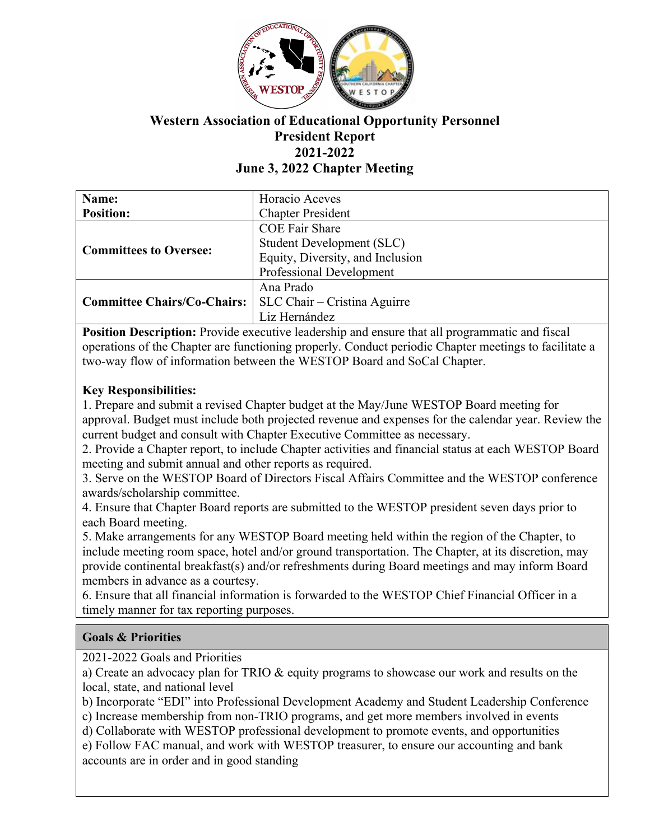

# **Western Association of Educational Opportunity Personnel President Report 2021-2022 June 3, 2022 Chapter Meeting**

| Name:                              | Horacio Aceves                   |
|------------------------------------|----------------------------------|
| <b>Position:</b>                   | <b>Chapter President</b>         |
| <b>Committees to Oversee:</b>      | <b>COE Fair Share</b>            |
|                                    | <b>Student Development (SLC)</b> |
|                                    | Equity, Diversity, and Inclusion |
|                                    | Professional Development         |
| <b>Committee Chairs/Co-Chairs:</b> | Ana Prado                        |
|                                    | SLC Chair – Cristina Aguirre     |
|                                    | Liz Hernández                    |

**Position Description:** Provide executive leadership and ensure that all programmatic and fiscal operations of the Chapter are functioning properly. Conduct periodic Chapter meetings to facilitate a two-way flow of information between the WESTOP Board and SoCal Chapter.

## **Key Responsibilities:**

1. Prepare and submit a revised Chapter budget at the May/June WESTOP Board meeting for approval. Budget must include both projected revenue and expenses for the calendar year. Review the current budget and consult with Chapter Executive Committee as necessary.

2. Provide a Chapter report, to include Chapter activities and financial status at each WESTOP Board meeting and submit annual and other reports as required.

3. Serve on the WESTOP Board of Directors Fiscal Affairs Committee and the WESTOP conference awards/scholarship committee.

4. Ensure that Chapter Board reports are submitted to the WESTOP president seven days prior to each Board meeting.

5. Make arrangements for any WESTOP Board meeting held within the region of the Chapter, to include meeting room space, hotel and/or ground transportation. The Chapter, at its discretion, may provide continental breakfast(s) and/or refreshments during Board meetings and may inform Board members in advance as a courtesy.

6. Ensure that all financial information is forwarded to the WESTOP Chief Financial Officer in a timely manner for tax reporting purposes.

### **Goals & Priorities**

2021-2022 Goals and Priorities

a) Create an advocacy plan for TRIO & equity programs to showcase our work and results on the local, state, and national level

b) Incorporate "EDI" into Professional Development Academy and Student Leadership Conference

c) Increase membership from non-TRIO programs, and get more members involved in events

d) Collaborate with WESTOP professional development to promote events, and opportunities

e) Follow FAC manual, and work with WESTOP treasurer, to ensure our accounting and bank accounts are in order and in good standing